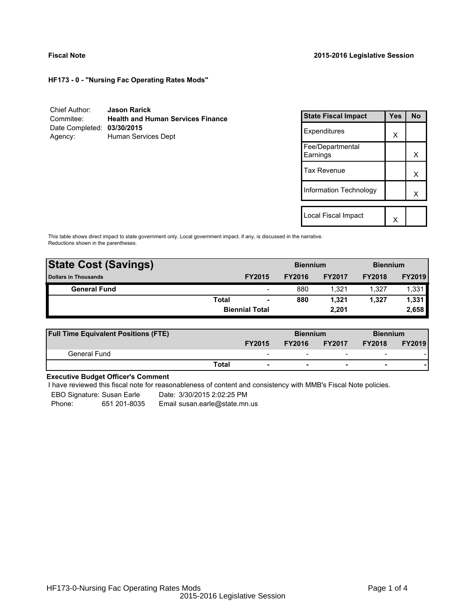**HF173 - 0 - "Nursing Fac Operating Rates Mods"**

| Chief Author:              | <b>Jason Rarick</b>                      |
|----------------------------|------------------------------------------|
| Commitee:                  | <b>Health and Human Services Finance</b> |
| Date Completed: 03/30/2015 |                                          |
| Agency:                    | Human Services Dept                      |

| <b>State Fiscal Impact</b>   | Yes | <b>No</b> |
|------------------------------|-----|-----------|
| Expenditures                 | X   |           |
| Fee/Departmental<br>Earnings |     | x         |
| <b>Tax Revenue</b>           |     | x         |
| Information Technology       |     | x         |
|                              |     |           |
| Local Fiscal Impact          |     |           |

This table shows direct impact to state government only. Local government impact. if any, is discussed in the narrative. Reductions shown in the parentheses.

| <b>State Cost (Savings)</b> |              | <b>Biennium</b>          |               |               | <b>Biennium</b> |               |  |  |
|-----------------------------|--------------|--------------------------|---------------|---------------|-----------------|---------------|--|--|
| <b>Dollars in Thousands</b> |              | <b>FY2015</b>            | <b>FY2016</b> | <b>FY2017</b> | <b>FY2018</b>   | <b>FY2019</b> |  |  |
| <b>General Fund</b>         |              | $\overline{\phantom{a}}$ | 880           | 1.321         | 1.327           | 1,331         |  |  |
|                             | <b>Total</b> | $\blacksquare$           | 880           | 1.321         | 1.327           | 1,331         |  |  |
|                             |              | <b>Biennial Total</b>    |               | 2.201         |                 | 2,658         |  |  |
|                             |              |                          |               |               |                 |               |  |  |

| <b>Full Time Equivalent Positions (FTE)</b> |              |                          | <b>Biennium</b> |                          | <b>Biennium</b>          |               |  |
|---------------------------------------------|--------------|--------------------------|-----------------|--------------------------|--------------------------|---------------|--|
|                                             |              | <b>FY2015</b>            | <b>FY2016</b>   | <b>FY2017</b>            | <b>FY2018</b>            | <b>FY2019</b> |  |
| General Fund                                |              | $\overline{\phantom{0}}$ |                 | $\overline{\phantom{a}}$ | $\overline{\phantom{0}}$ |               |  |
|                                             | <b>Total</b> | ۰                        | -               | $\overline{\phantom{0}}$ | ۰                        |               |  |

# **Executive Budget Officer's Comment**

I have reviewed this fiscal note for reasonableness of content and consistency with MMB's Fiscal Note policies.

EBO Signature: Susan Earle Date: 3/30/2015 2:02:25 PM

Phone: 651 201-8035 Email susan.earle@state.mn.us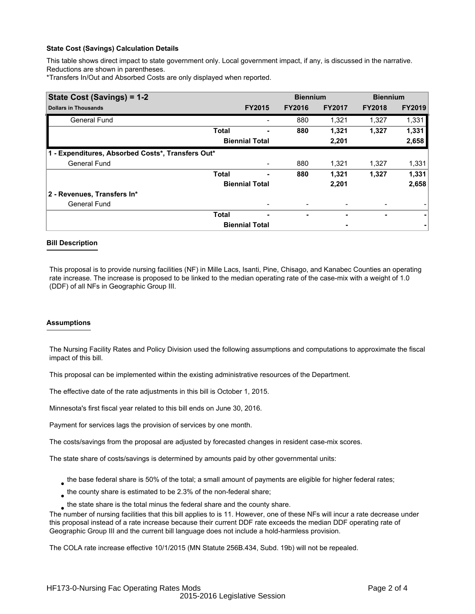### **State Cost (Savings) Calculation Details**

This table shows direct impact to state government only. Local government impact, if any, is discussed in the narrative. Reductions are shown in parentheses.

\*Transfers In/Out and Absorbed Costs are only displayed when reported.

| State Cost (Savings) = 1-2                        |              | <b>Biennium</b>       |               | <b>Biennium</b> |               |               |  |
|---------------------------------------------------|--------------|-----------------------|---------------|-----------------|---------------|---------------|--|
| <b>Dollars in Thousands</b>                       |              | <b>FY2015</b>         | <b>FY2016</b> | <b>FY2017</b>   | <b>FY2018</b> | <b>FY2019</b> |  |
| <b>General Fund</b>                               |              |                       | 880           | 1,321           | 1,327         | 1,331         |  |
|                                                   | <b>Total</b> |                       | 880           | 1,321           | 1,327         | 1,331         |  |
|                                                   |              | <b>Biennial Total</b> |               | 2,201           |               | 2,658         |  |
| 1 - Expenditures, Absorbed Costs*, Transfers Out* |              |                       |               |                 |               |               |  |
| <b>General Fund</b>                               |              |                       | 880           | 1,321           | 1.327         | 1,331         |  |
|                                                   | <b>Total</b> | ۰                     | 880           | 1,321           | 1,327         | 1,331         |  |
|                                                   |              | <b>Biennial Total</b> |               | 2,201           |               | 2,658         |  |
| 2 - Revenues, Transfers In*                       |              |                       |               |                 |               |               |  |
| <b>General Fund</b>                               |              | -                     |               | -               |               |               |  |
|                                                   | <b>Total</b> | -                     |               |                 | ٠             |               |  |
|                                                   |              | <b>Biennial Total</b> |               | ٠               |               |               |  |

### **Bill Description**

This proposal is to provide nursing facilities (NF) in Mille Lacs, Isanti, Pine, Chisago, and Kanabec Counties an operating rate increase. The increase is proposed to be linked to the median operating rate of the case-mix with a weight of 1.0 (DDF) of all NFs in Geographic Group III.

### **Assumptions**

The Nursing Facility Rates and Policy Division used the following assumptions and computations to approximate the fiscal impact of this bill.

This proposal can be implemented within the existing administrative resources of the Department.

The effective date of the rate adjustments in this bill is October 1, 2015.

Minnesota's first fiscal year related to this bill ends on June 30, 2016.

Payment for services lags the provision of services by one month.

The costs/savings from the proposal are adjusted by forecasted changes in resident case-mix scores.

The state share of costs/savings is determined by amounts paid by other governmental units:

- $_{\bullet}$  the base federal share is 50% of the total; a small amount of payments are eligible for higher federal rates;
- $_{\bullet}$  the county share is estimated to be 2.3% of the non-federal share;
- $_{\bullet}$  the state share is the total minus the federal share and the county share.

The number of nursing facilities that this bill applies to is 11. However, one of these NFs will incur a rate decrease under this proposal instead of a rate increase because their current DDF rate exceeds the median DDF operating rate of Geographic Group III and the current bill language does not include a hold-harmless provision.

The COLA rate increase effective 10/1/2015 (MN Statute 256B.434, Subd. 19b) will not be repealed.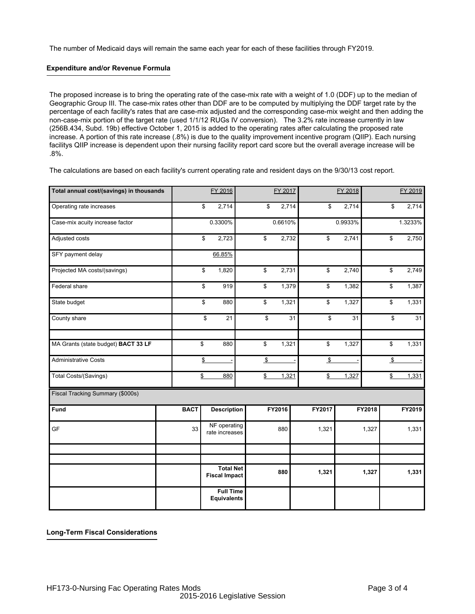The number of Medicaid days will remain the same each year for each of these facilities through FY2019.

## **Expenditure and/or Revenue Formula**

The proposed increase is to bring the operating rate of the case-mix rate with a weight of 1.0 (DDF) up to the median of Geographic Group III. The case-mix rates other than DDF are to be computed by multiplying the DDF target rate by the percentage of each facility's rates that are case-mix adjusted and the corresponding case-mix weight and then adding the non-case-mix portion of the target rate (used 1/1/12 RUGs IV conversion). The 3.2% rate increase currently in law (256B.434, Subd. 19b) effective October 1, 2015 is added to the operating rates after calculating the proposed rate increase. A portion of this rate increase (.8%) is due to the quality improvement incentive program (QIIP). Each nursing facilitys QIIP increase is dependent upon their nursing facility report card score but the overall average increase will be .8%.

The calculations are based on each facility's current operating rate and resident days on the 9/30/13 cost report.

| Total annual cost/(savings) in thousands |             | FY 2016                                  |  |               | FY 2017 |    |               | FY 2018 |        |                 | FY 2019 |
|------------------------------------------|-------------|------------------------------------------|--|---------------|---------|----|---------------|---------|--------|-----------------|---------|
| Operating rate increases                 |             | \$<br>2,714                              |  | \$            | 2,714   |    | \$            | 2,714   |        | \$              | 2,714   |
| Case-mix acuity increase factor          |             | 0.3300%                                  |  |               | 0.6610% |    |               | 0.9933% |        |                 | 1.3233% |
| Adjusted costs                           |             | \$<br>2,723                              |  | \$            | 2,732   |    | \$            | 2,741   |        | \$              | 2,750   |
| SFY payment delay                        |             | 66.85%                                   |  |               |         |    |               |         |        |                 |         |
| Projected MA costs/(savings)             |             | \$<br>1,820                              |  | \$            | 2,731   |    | \$            | 2,740   |        | $\overline{\$}$ | 2,749   |
| Federal share                            |             | \$<br>919                                |  | \$            | 1,379   |    | \$            | 1,382   |        | $\overline{\$}$ | 1,387   |
| State budget                             |             | \$<br>880                                |  | \$            | 1,321   |    | \$            | 1,327   |        | \$              | 1,331   |
| County share                             |             | \$<br>21                                 |  | \$            |         | 31 | \$            | 31      |        | \$              | 31      |
| MA Grants (state budget) BACT 33 LF      |             | \$<br>880                                |  | \$            | 1,321   |    | \$            | 1,327   |        | $\overline{\$}$ | 1,331   |
| <b>Administrative Costs</b>              |             | \$                                       |  | $\sqrt[6]{2}$ |         |    | $\sqrt[6]{2}$ |         |        | $\sqrt[6]{2}$   |         |
| <b>Total Costs/(Savings)</b>             |             | \$<br>880                                |  | \$            | 1,321   |    | $\frac{3}{2}$ | 1,327   |        | $\frac{3}{2}$   | 1,331   |
| Fiscal Tracking Summary (\$000s)         |             |                                          |  |               |         |    |               |         |        |                 |         |
| Fund                                     | <b>BACT</b> | <b>Description</b>                       |  |               | FY2016  |    | FY2017        |         | FY2018 |                 | FY2019  |
| GF                                       | 33          | NF operating<br>rate increases           |  |               | 880     |    | 1,321         |         | 1,327  |                 | 1,331   |
|                                          |             |                                          |  |               |         |    |               |         |        |                 |         |
|                                          |             | <b>Total Net</b><br><b>Fiscal Impact</b> |  |               | 880     |    | 1,321         |         | 1,327  |                 | 1,331   |
|                                          |             | <b>Full Time</b><br><b>Equivalents</b>   |  |               |         |    |               |         |        |                 |         |

**Long-Term Fiscal Considerations**